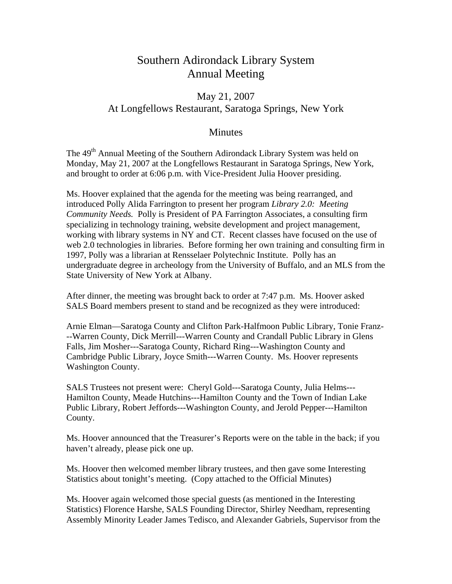## Southern Adirondack Library System Annual Meeting

## May 21, 2007 At Longfellows Restaurant, Saratoga Springs, New York

## **Minutes**

The 49<sup>th</sup> Annual Meeting of the Southern Adirondack Library System was held on Monday, May 21, 2007 at the Longfellows Restaurant in Saratoga Springs, New York, and brought to order at 6:06 p.m. with Vice-President Julia Hoover presiding.

Ms. Hoover explained that the agenda for the meeting was being rearranged, and introduced Polly Alida Farrington to present her program *Library 2.0: Meeting Community Needs.* Polly is President of PA Farrington Associates, a consulting firm specializing in technology training, website development and project management, working with library systems in NY and CT. Recent classes have focused on the use of web 2.0 technologies in libraries. Before forming her own training and consulting firm in 1997, Polly was a librarian at Rensselaer Polytechnic Institute. Polly has an undergraduate degree in archeology from the University of Buffalo, and an MLS from the State University of New York at Albany.

After dinner, the meeting was brought back to order at 7:47 p.m. Ms. Hoover asked SALS Board members present to stand and be recognized as they were introduced:

Arnie Elman—Saratoga County and Clifton Park-Halfmoon Public Library, Tonie Franz- --Warren County, Dick Merrill---Warren County and Crandall Public Library in Glens Falls, Jim Mosher---Saratoga County, Richard Ring---Washington County and Cambridge Public Library, Joyce Smith---Warren County. Ms. Hoover represents Washington County.

SALS Trustees not present were: Cheryl Gold---Saratoga County, Julia Helms--- Hamilton County, Meade Hutchins---Hamilton County and the Town of Indian Lake Public Library, Robert Jeffords---Washington County, and Jerold Pepper---Hamilton County.

Ms. Hoover announced that the Treasurer's Reports were on the table in the back; if you haven't already, please pick one up.

Ms. Hoover then welcomed member library trustees, and then gave some Interesting Statistics about tonight's meeting. (Copy attached to the Official Minutes)

Ms. Hoover again welcomed those special guests (as mentioned in the Interesting Statistics) Florence Harshe, SALS Founding Director, Shirley Needham, representing Assembly Minority Leader James Tedisco, and Alexander Gabriels, Supervisor from the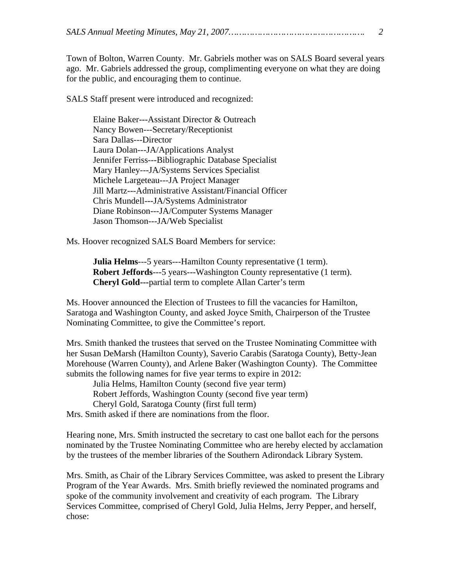|--|--|--|

Town of Bolton, Warren County. Mr. Gabriels mother was on SALS Board several years ago. Mr. Gabriels addressed the group, complimenting everyone on what they are doing for the public, and encouraging them to continue.

SALS Staff present were introduced and recognized:

Elaine Baker---Assistant Director & Outreach Nancy Bowen---Secretary/Receptionist Sara Dallas---Director Laura Dolan---JA/Applications Analyst Jennifer Ferriss---Bibliographic Database Specialist Mary Hanley---JA/Systems Services Specialist Michele Largeteau---JA Project Manager Jill Martz---Administrative Assistant/Financial Officer Chris Mundell---JA/Systems Administrator Diane Robinson---JA/Computer Systems Manager Jason Thomson---JA/Web Specialist

Ms. Hoover recognized SALS Board Members for service:

**Julia Helms**---5 years---Hamilton County representative (1 term). **Robert Jeffords**---5 years---Washington County representative (1 term). **Cheryl Gold---**partial term to complete Allan Carter's term

Ms. Hoover announced the Election of Trustees to fill the vacancies for Hamilton, Saratoga and Washington County, and asked Joyce Smith, Chairperson of the Trustee Nominating Committee, to give the Committee's report.

Mrs. Smith thanked the trustees that served on the Trustee Nominating Committee with her Susan DeMarsh (Hamilton County), Saverio Carabis (Saratoga County), Betty-Jean Morehouse (Warren County), and Arlene Baker (Washington County). The Committee submits the following names for five year terms to expire in 2012:

Julia Helms, Hamilton County (second five year term) Robert Jeffords, Washington County (second five year term) Cheryl Gold, Saratoga County (first full term)

Mrs. Smith asked if there are nominations from the floor.

Hearing none, Mrs. Smith instructed the secretary to cast one ballot each for the persons nominated by the Trustee Nominating Committee who are hereby elected by acclamation by the trustees of the member libraries of the Southern Adirondack Library System.

Mrs. Smith, as Chair of the Library Services Committee, was asked to present the Library Program of the Year Awards. Mrs. Smith briefly reviewed the nominated programs and spoke of the community involvement and creativity of each program. The Library Services Committee, comprised of Cheryl Gold, Julia Helms, Jerry Pepper, and herself, chose: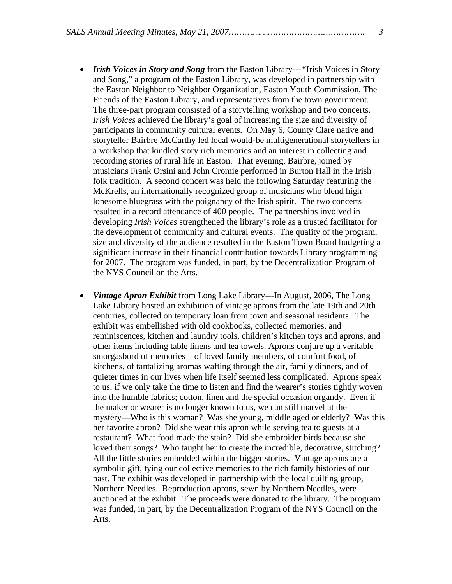- *Irish Voices in Story and Song* from the Easton Library---*"*Irish Voices in Story and Song," a program of the Easton Library, was developed in partnership with the Easton Neighbor to Neighbor Organization, Easton Youth Commission, The Friends of the Easton Library, and representatives from the town government. The three-part program consisted of a storytelling workshop and two concerts. *Irish Voices* achieved the library's goal of increasing the size and diversity of participants in community cultural events. On May 6, County Clare native and storyteller Bairbre McCarthy led local would-be multigenerational storytellers in a workshop that kindled story rich memories and an interest in collecting and recording stories of rural life in Easton. That evening, Bairbre, joined by musicians Frank Orsini and John Cromie performed in Burton Hall in the Irish folk tradition. A second concert was held the following Saturday featuring the McKrells, an internationally recognized group of musicians who blend high lonesome bluegrass with the poignancy of the Irish spirit. The two concerts resulted in a record attendance of 400 people. The partnerships involved in developing *Irish Voices* strengthened the library's role as a trusted facilitator for the development of community and cultural events. The quality of the program, size and diversity of the audience resulted in the Easton Town Board budgeting a significant increase in their financial contribution towards Library programming for 2007. The program was funded, in part, by the Decentralization Program of the NYS Council on the Arts.
- *Vintage Apron Exhibit* from Long Lake Library**---**In August, 2006, The Long Lake Library hosted an exhibition of vintage aprons from the late 19th and 20th centuries, collected on temporary loan from town and seasonal residents. The exhibit was embellished with old cookbooks, collected memories, and reminiscences, kitchen and laundry tools, children's kitchen toys and aprons, and other items including table linens and tea towels. Aprons conjure up a veritable smorgasbord of memories—of loved family members, of comfort food, of kitchens, of tantalizing aromas wafting through the air, family dinners, and of quieter times in our lives when life itself seemed less complicated. Aprons speak to us, if we only take the time to listen and find the wearer's stories tightly woven into the humble fabrics; cotton, linen and the special occasion organdy. Even if the maker or wearer is no longer known to us, we can still marvel at the mystery—Who is this woman? Was she young, middle aged or elderly? Was this her favorite apron? Did she wear this apron while serving tea to guests at a restaurant? What food made the stain? Did she embroider birds because she loved their songs? Who taught her to create the incredible, decorative, stitching? All the little stories embedded within the bigger stories. Vintage aprons are a symbolic gift, tying our collective memories to the rich family histories of our past. The exhibit was developed in partnership with the local quilting group, Northern Needles. Reproduction aprons, sewn by Northern Needles, were auctioned at the exhibit. The proceeds were donated to the library. The program was funded, in part, by the Decentralization Program of the NYS Council on the Arts.